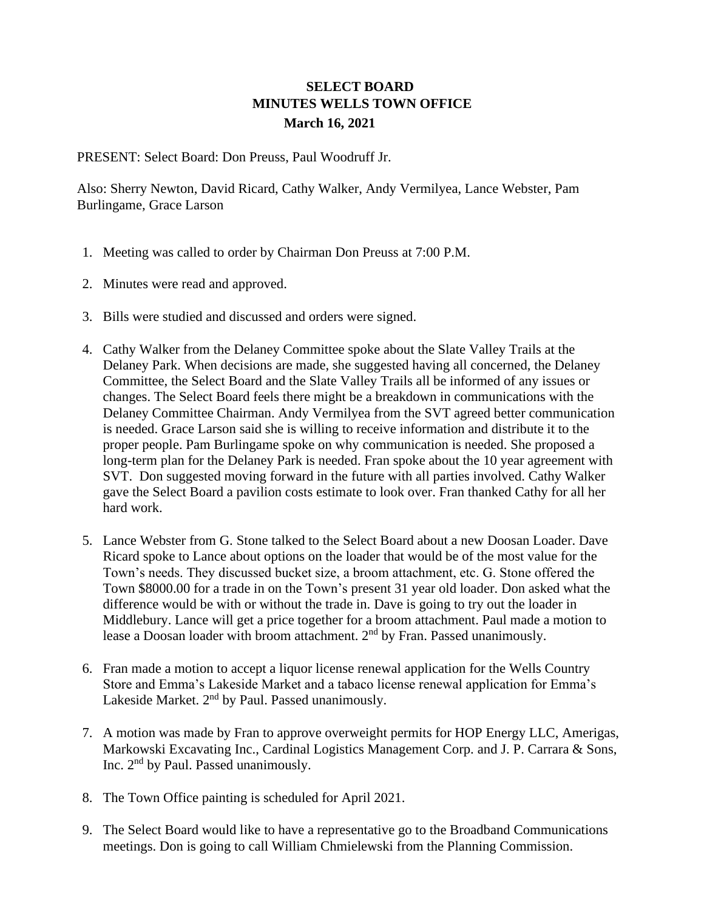## **SELECT BOARD MINUTES WELLS TOWN OFFICE March 16, 2021**

PRESENT: Select Board: Don Preuss, Paul Woodruff Jr.

Also: Sherry Newton, David Ricard, Cathy Walker, Andy Vermilyea, Lance Webster, Pam Burlingame, Grace Larson

- 1. Meeting was called to order by Chairman Don Preuss at 7:00 P.M.
- 2. Minutes were read and approved.
- 3. Bills were studied and discussed and orders were signed.
- 4. Cathy Walker from the Delaney Committee spoke about the Slate Valley Trails at the Delaney Park. When decisions are made, she suggested having all concerned, the Delaney Committee, the Select Board and the Slate Valley Trails all be informed of any issues or changes. The Select Board feels there might be a breakdown in communications with the Delaney Committee Chairman. Andy Vermilyea from the SVT agreed better communication is needed. Grace Larson said she is willing to receive information and distribute it to the proper people. Pam Burlingame spoke on why communication is needed. She proposed a long-term plan for the Delaney Park is needed. Fran spoke about the 10 year agreement with SVT. Don suggested moving forward in the future with all parties involved. Cathy Walker gave the Select Board a pavilion costs estimate to look over. Fran thanked Cathy for all her hard work.
- 5. Lance Webster from G. Stone talked to the Select Board about a new Doosan Loader. Dave Ricard spoke to Lance about options on the loader that would be of the most value for the Town's needs. They discussed bucket size, a broom attachment, etc. G. Stone offered the Town \$8000.00 for a trade in on the Town's present 31 year old loader. Don asked what the difference would be with or without the trade in. Dave is going to try out the loader in Middlebury. Lance will get a price together for a broom attachment. Paul made a motion to lease a Doosan loader with broom attachment. 2<sup>nd</sup> by Fran. Passed unanimously.
- 6. Fran made a motion to accept a liquor license renewal application for the Wells Country Store and Emma's Lakeside Market and a tabaco license renewal application for Emma's Lakeside Market.  $2<sup>nd</sup>$  by Paul. Passed unanimously.
- 7. A motion was made by Fran to approve overweight permits for HOP Energy LLC, Amerigas, Markowski Excavating Inc., Cardinal Logistics Management Corp. and J. P. Carrara & Sons, Inc.  $2<sup>nd</sup>$  by Paul. Passed unanimously.
- 8. The Town Office painting is scheduled for April 2021.
- 9. The Select Board would like to have a representative go to the Broadband Communications meetings. Don is going to call William Chmielewski from the Planning Commission.